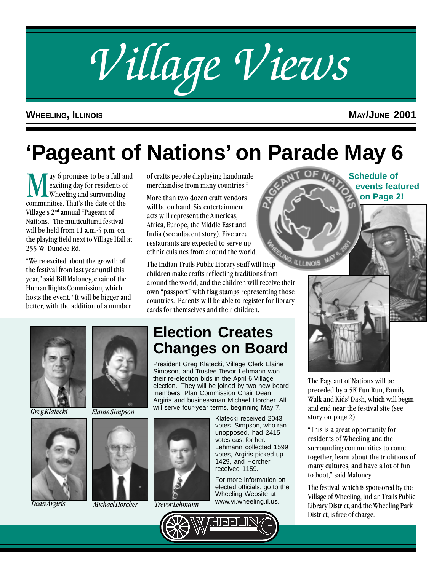

### **WHEELING, ILLINOIS MAY/JUNE 2001**

**Schedule of**

**events featured on Page 2!**

## **'Pageant of Nations' on Parade May 6**

We a full and exciting day for residents of wheeling and surrounding communities. That's the date of the exciting day for residents of Wheeling and surrounding Village's 2<sup>nd</sup> annual "Pageant of Nations." The multicultural festival will be held from 11 a.m.-5 p.m. on the playing field next to Village Hall at 255 W. Dundee Rd.

"We're excited about the growth of the festival from last year until this year," said Bill Maloney, chair of the Human Rights Commission, which hosts the event. "It will be bigger and better, with the addition of a number of crafts people displaying handmade merchandise from many countries.

More than two dozen craft vendors will be on hand. Six entertainment acts will represent the Americas, Africa, Europe, the Middle East and India (see adjacent story). Five area restaurants are expected to serve up ethnic cuisines from around the world.

The Indian Trails Public Library staff will help children make crafts reflecting traditions from around the world, and the children will receive their own "passport" with flag stamps representing those countries. Parents will be able to register for library cards for themselves and their children.







Greg Klatecki Elaine Simpson



Michael Horcher Dean Argiris Trevor Lehmann

## **Election Creates Changes on Board**

President Greg Klatecki, Village Clerk Elaine Simpson, and Trustee Trevor Lehmann won their re-election bids in the April 6 Village election. They will be joined by two new board members: Plan Commission Chair Dean Argiris and businessman Michael Horcher. All will serve four-year terms, beginning May 7.

> Klatecki received 2043 votes. Simpson, who ran unopposed, had 2415 votes cast for her. Lehmann collected 1599 votes, Argiris picked up 1429, and Horcher received 1159.

For more information on elected officials, go to the Wheeling Website at www.vi.wheeling.il.us.







The Pageant of Nations will be preceded by a 5K Fun Run, Family Walk and Kids' Dash, which will begin and end near the festival site (see story on page 2).

This is a great opportunity for residents of Wheeling and the surrounding communities to come together, learn about the traditions of many cultures, and have a lot of fun to boot," said Maloney.

The festival, which is sponsored by the Village of Wheeling, Indian Trails Public Library District, and the Wheeling Park District, is free of charge.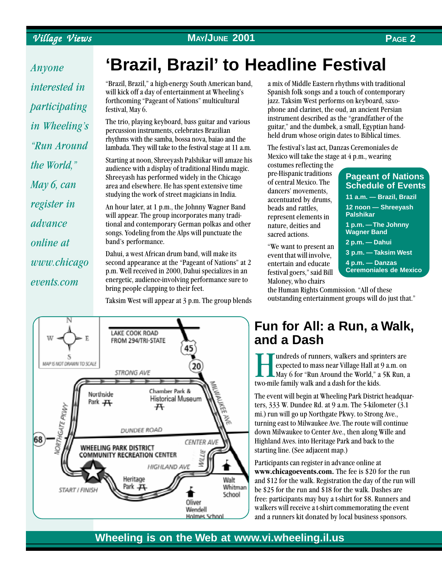### Village Views **MAY/JUNE 2001 PAGE 2**

Anyone interested in participating in Wheeling's Run Around the World, May 6, can register in advance online at www.chicago events.com

## **'Brazil, Brazil' to Headline Festival**

"Brazil, Brazil," a high-energy South American band, will kick off a day of entertainment at Wheeling's forthcoming "Pageant of Nations" multicultural festival, May 6.

The trio, playing keyboard, bass guitar and various percussion instruments, celebrates Brazilian rhythms with the samba, bossa nova, baiao and the lambada. They will take to the festival stage at 11 a.m.

Starting at noon, Shreeyash Palshikar will amaze his audience with a display of traditional Hindu magic. Shreeyash has performed widely in the Chicago area and elsewhere. He has spent extensive time studying the work of street magicians in India.

An hour later, at 1 p.m., the Johnny Wagner Band will appear. The group incorporates many traditional and contemporary German polkas and other songs. Yodeling from the Alps will punctuate the band's performance.

Dahui, a west African drum band, will make its second appearance at the "Pageant of Nations" at 2 p.m. Well received in 2000, Dahui specializes in an energetic, audience-involving performance sure to bring people clapping to their feet.

Taksim West will appear at 3 p.m. The group blends



a mix of Middle Eastern rhythms with traditional Spanish folk songs and a touch of contemporary jazz. Taksim West performs on keyboard, saxophone and clarinet, the oud, an ancient Persian instrument described as the "grandfather of the guitar," and the dumbek, a small, Egyptian handheld drum whose origin dates to Biblical times.

The festival's last act, Danzas Ceremoniales de Mexico will take the stage at  $4$  p.m., wearing

costumes reflecting the pre-Hispanic traditions of central Mexico. The dancers' movements. accentuated by drums, beads and rattles, represent elements in nature, deities and sacred actions.

We want to present an event that will involve, entertain and educate festival goers," said Bill Maloney, who chairs

| <b>Pageant of Nations</b><br><b>Schedule of Events</b> |
|--------------------------------------------------------|
| 11 a.m. - Brazil, Brazil                               |
| 12 noon - Shreeyash<br><b>Palshikar</b>                |
| 1 p.m. - The Johnny<br><b>Wagner Band</b>              |
| 2 p.m. — Dahui                                         |
| 3 p.m. - Taksim West                                   |
| 4 p.m. — Danzas<br><b>Ceremoniales de Mexico</b>       |

the Human Rights Commission. All of these outstanding entertainment groups will do just that.

### **Fun for All: a Run, a Walk, and a Dash**

undreds of runners, walkers and sprinters are expected to mass near Village Hall at 9 a.m. on  $\mathsf{M}$ ay 6 for "Run Around the World," a 5K Run, a two-mile family walk and a dash for the kids.

The event will begin at Wheeling Park District headquarters, 333 W. Dundee Rd. at 9 a.m. The 5-kilometer (3.1 mi.) run will go up Northgate Pkwy. to Strong Ave., turning east to Milwaukee Ave. The route will continue down Milwaukee to Center Ave., then along Wille and Highland Aves. into Heritage Park and back to the starting line. (See adjacent map.)

Participants can register in advance online at www.chicagoevents.com. The fee is \$20 for the run and \$12 for the walk. Registration the day of the run will be \$25 for the run and \$18 for the walk. Dashes are free: participants may buy a t-shirt for \$8. Runners and walkers will receive a t-shirt commemorating the event and a runners kit donated by local business sponsors.

### **Wheeling is on the Web at www.vi.wheeling.il.us**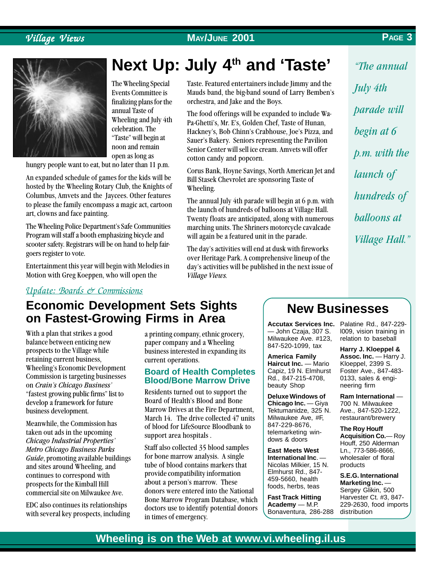### Village Views **MAY/JUNE 2001 PAGE 3**



The Wheeling Special Events Committee is finalizing plans for the annual Taste of Wheeling and July 4th celebration. The "Taste" will begin at noon and remain open as long as

hungry people want to eat, but no later than 11 p.m.

An expanded schedule of games for the kids will be hosted by the Wheeling Rotary Club, the Knights of Columbus, Amvets and the Jaycees. Other features to please the family encompass a magic act, cartoon art, clowns and face painting.

The Wheeling Police Department's Safe Communities Program will staff a booth emphasizing bicycle and scooter safety. Registrars will be on hand to help fairgoers register to vote.

Entertainment this year will begin with Melodies in Motion with Greg Koeppen, who will open the

## **Next Up: July 4th and 'Taste'**

Taste. Featured entertainers include Jimmy and the Mauds band, the big-band sound of Larry Bemben's orchestra, and Jake and the Boys.

The food offerings will be expanded to include Wa-Pa-Ghetti's, Mr. E's, Golden Chef, Taste of Hunan, Hackney's, Bob Chinn's Crabhouse, Joe's Pizza, and Sauer's Bakery. Seniors representing the Pavilion Senior Center will sell ice cream. Amvets will offer cotton candy and popcorn.

Corus Bank, Hoyne Savings, North American Jet and Bill Stasek Chevrolet are sponsoring Taste of Wheeling.

The annual July 4th parade will begin at 6 p.m. with the launch of hundreds of balloons at Village Hall. Twenty floats are anticipated, along with numerous marching units. The Shriners motorcycle cavalcade will again be a featured unit in the parade.

The day's activities will end at dusk with fireworks over Heritage Park. A comprehensive lineup of the day's activities will be published in the next issue of Village Views.

The annual July 4th parade will begin at 6 p.m. with the launch of hundreds of balloons at Village Hall.

### Update: Boards & Commissions

### **Economic Development Sets Sights on Fastest-Growing Firms in Area**

With a plan that strikes a good balance between enticing new prospects to the Village while retaining current business, Wheeling's Economic Development Commission is targeting businesses on Crain's Chicago Business' "fastest growing public firms" list to develop a framework for future business development.

Meanwhile, the Commission has taken out ads in the upcoming Chicago Industrial Properties Metro Chicago Business Parks Guide, promoting available buildings and sites around Wheeling, and continues to correspond with prospects for the Kimball Hill commercial site on Milwaukee Ave.

EDC also continues its relationships with several key prospects, including a printing company, ethnic grocery, paper company and a Wheeling business interested in expanding its current operations.

### **Board of Health Completes Blood/Bone Marrow Drive**

Residents turned out to support the Board of Health's Blood and Bone Marrow Drives at the Fire Department, March 14. The drive collected 47 units of blood for LifeSource Bloodbank to support area hospitals .

Staff also collected 35 blood samples for bone marrow analysis. A single tube of blood contains markers that provide compatibility information about a person's marrow. These donors were entered into the National Bone Marrow Program Database, which doctors use to identify potential donors in times of emergency.

### **New Businesses**

— John Czaja, 307 S. Milwaukee Ave. #123, 847-520-1099, tax

**America Family Haircut Inc.** — Mario Capiz, 19 N. Elmhurst Rd., 847-215-4708, beauty Shop

**Deluxe Windows of Chicago Inc.** — Giya Tektumanidze, 325 N. Milwaukee Ave, #F, 847-229-8676, telemarketing windows & doors

**East Meets West International Inc**. — Nicolas Milkier, 15 N. Elmhurst Rd., 847- 459-5660, health foods, herbs, teas

**Fast Track Hitting Academy** — M.P. Bonaventura, 286-288

Accutax Services Inc. Palatine Rd., 847-229l009, vision training in relation to baseball

> **Harry J. Kloeppel & Assoc. Inc.** — Harry J. Kloeppel, 2399 S. Foster Ave., 847-483- 0133, sales & engineering firm

**Ram International** — 700 N. Milwaukee Ave., 847-520-1222, restaurant/brewery

**The Roy Houff Acquisition Co.**— Roy Houff, 250 Alderman Ln., 773-586-8666, wholesaler of floral products

**S.E.G. International Marketing Inc.** — Sergey Glikin, 500 Harvester Ct. #3, 847- 229-2630, food imports distribution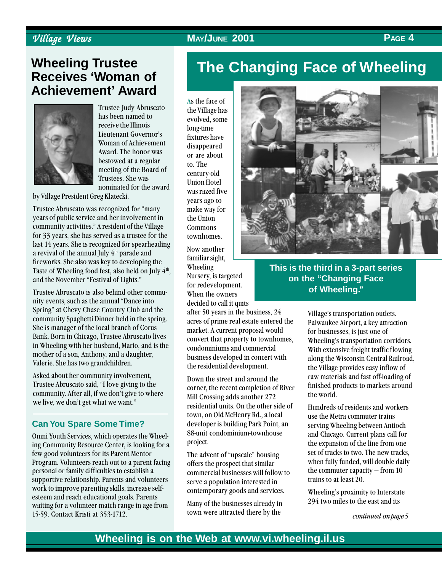### Village Views Village Views **MAY/JUNE 2001 PAGE 4**

### **Wheeling Trustee Receives 'Woman of Achievement' Award**



Trustee Judy Abruscato has been named to receive the Illinois Lieutenant Governor's Woman of Achievement Award. The honor was bestowed at a regular meeting of the Board of Trustees. She was nominated for the award

by Village President Greg Klatecki.

Trustee Abruscato was recognized for many years of public service and her involvement in community activities." A resident of the Village for 33 years, she has served as a trustee for the last 14 years. She is recognized for spearheading a revival of the annual July 4<sup>th</sup> parade and fireworks. She also was key to developing the Taste of Wheeling food fest, also held on July 4<sup>th</sup>, and the November "Festival of Lights."

Trustee Abruscato is also behind other community events, such as the annual "Dance into Spring" at Chevy Chase Country Club and the community Spaghetti Dinner held in the spring. She is manager of the local branch of Corus Bank. Born in Chicago, Trustee Abruscato lives in Wheeling with her husband, Mario, and is the mother of a son, Anthony, and a daughter, Valerie. She has two grandchildren.

Asked about her community involvement, Trustee Abruscato said, "I love giving to the community. After all, if we don't give to where we live, we don't get what we want."

### **Can You Spare Some Time?**

Omni Youth Services, which operates the Wheeling Community Resource Center, is looking for a few good volunteers for its Parent Mentor Program. Volunteers reach out to a parent facing personal or family difficulties to establish a supportive relationship. Parents and volunteers work to improve parenting skills, increase selfesteem and reach educational goals. Parents waiting for a volunteer match range in age from 15-59. Contact Kristi at 353-1712.

## **The Changing Face of Wheeling**

As the face of the Village has evolved, some long-time fixtures have disappeared or are about to. The century-old Union Hotel was razed five years ago to make way for the Union Commons townhomes.

Now another familiar sight, Wheeling Nursery, is targeted for redevelopment. When the owners decided to call it quits

after 50 years in the business, 24 acres of prime real estate entered the market. A current proposal would convert that property to townhomes, condominiums and commercial business developed in concert with the residential development.

Down the street and around the corner, the recent completion of River Mill Crossing adds another 272 residential units. On the other side of town, on Old McHenry Rd., a local developer is building Park Point, an 88-unit condominium-townhouse project.

The advent of "upscale" housing offers the prospect that similar commercial businesses will follow to serve a population interested in contemporary goods and services.

Many of the businesses already in town were attracted there by the



### **This is the third in a 3-part series on the "Changing Face of Wheeling."**

Village's transportation outlets. Palwaukee Airport, a key attraction for businesses, is just one of Wheeling's transportation corridors. With extensive freight traffic flowing along the Wisconsin Central Railroad, the Village provides easy inflow of raw materials and fast off-loading of finished products to markets around the world.

Hundreds of residents and workers use the Metra commuter trains serving Wheeling between Antioch and Chicago. Current plans call for the expansion of the line from one set of tracks to two. The new tracks, when fully funded, will double daily the commuter capacity  $-$  from 10 trains to at least 20.

Wheeling's proximity to Interstate 294 two miles to the east and its

continued on page 5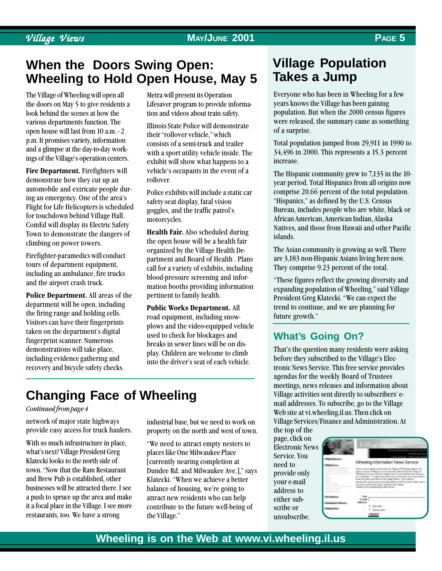### Village Views **MAY/JUNE 2001 PAGE 5**

### **When the Doors Swing Open: Wheeling to Hold Open House, May 5**

The Village of Wheeling will open all the doors on May 5 to give residents a look behind the scenes at how the various departments function. The open house will last from 10 a.m. - 2 p.m. It promises variety, information and a glimpse at the day-to-day workings of the Village's operation centers.

Fire Department. Firefighters will demonstrate how they cut up an automobile and extricate people during an emergency. One of the area's Flight for Life Helicopters is scheduled for touchdown behind Village Hall. ComEd will display its Electric Safety Town to demonstrate the dangers of climbing on power towers.

Firefighter-paramedics will conduct tours of department equipment, including an ambulance, fire trucks and the airport crash truck.

Police Department. All areas of the department will be open, including the firing range and holding cells. Visitors can have their fingerprints taken on the department's digital fingerprint scanner. Numerous demonstrations will take place, including evidence gathering and recovery and bicycle safety checks.

Metra will present its Operation Lifesaver program to provide information and videos about train safety.

Illinois State Police will demonstrate their "rollover vehicle," which consists of a semi-truck and trailer with a sport utility vehicle inside. The exhibit will show what happens to a vehicle's occupants in the event of a rollover.

Police exhibits will include a static car safety-seat display, fatal vision goggles, and the traffic patrol's motorcycles.

Health Fair. Also scheduled during the open house will be a health fair organized by the Village Health Department and Board of Health . Plans call for a variety of exhibits, including blood-pressure screening and information booths providing information pertinent to family health.

Public Works Department. All road equipment, including snowplows and the video-equipped vehicle used to check for blockages and breaks in sewer lines will be on display. Children are welcome to climb into the driver's seat of each vehicle.

## **Changing Face of Wheeling**

### Continued from page 4

network of major state highways provide easy access for truck haulers.

With so much infrastructure in place, what's next? Village President Greg Klatecki looks to the north side of town. "Now that the Ram Restaurant. and Brew Pub is established, other businesses will be attracted there. I see a push to spruce up the area and make it a focal place in the Village. I see more restaurants, too. We have a strong

industrial base, but we need to work on property on the north and west of town.

We need to attract empty nesters to places like One Milwaukee Place [currently nearing completion at Dundee Rd. and Milwaukee Ave.]," says Klatecki. When we achieve a better balance of housing, we're going to attract new residents who can help contribute to the future well-being of the Village.

### **Village Population Takes a Jump**

Everyone who has been in Wheeling for a few years knows the Village has been gaining population. But when the 2000 census figures were released, the summary came as something of a surprise.

Total population jumped from 29,911 in 1990 to 34,496 in 2000. This represents a 15.3 percent increase.

The Hispanic community grew to 7,135 in the 10 year period. Total Hispanics from all origins now comprise 20.66 percent of the total population. "Hispanics," as defined by the U.S. Census Bureau, includes people who are white, black or African American, American Indian, Alaska Natives, and those from Hawaii and other Pacific islands.

The Asian community is growing as well. There are 3,183 non-Hispanic Asians living here now. They comprise 9.23 percent of the total.

These figures reflect the growing diversity and expanding population of Wheeling," said Village President Greg Klatecki. "We can expect the trend to continue, and we are planning for future growth.

### **What's Going On?**

That's the question many residents were asking before they subscribed to the Village's Electronic News Service. This free service provides agendas for the weekly Board of Trustees meetings, news releases and information about Village activities sent directly to subscribers' email addresses. To subscribe, go to the Village Web site at vi.wheeling.il.us. Then click on Village Services/Finance and Administration. At

the top of the page, click on Electronic News Service. You need to provide only your e-mail address to either subscribe or unsubscribe.

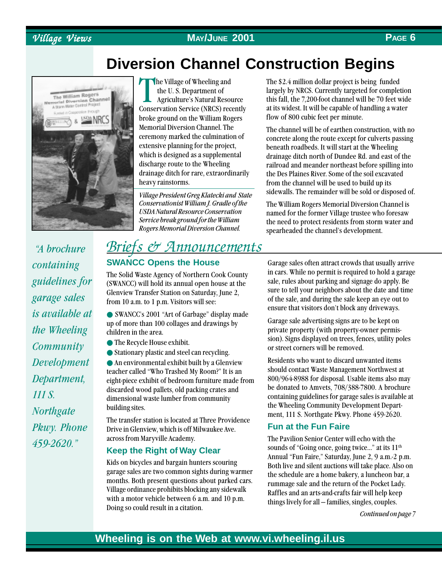### Village Views Village Views **MAY/JUNE 2001 PAGE 6**

## **Diversion Channel Construction Begins**



 A brochure containing guidelines for garage sales is available at the Wheeling **Community** Development Department, 111 S. **Northgate** Pkwy. Phone 459-2620.

The Village of Wheeling and<br>the U. S. Department of<br>Agriculture's Natural Resource<br>Conservation Service (NRCS) recently he Village of Wheeling and the U. S. Department of Agriculture's Natural Resource broke ground on the William Rogers Memorial Diversion Channel. The ceremony marked the culmination of extensive planning for the project, which is designed as a supplemental discharge route to the Wheeling drainage ditch for rare, extraordinarily heavy rainstorms.

Village President Greg Klatecki and State Conservationist William J. Gradle of the USDA Natural Resource Conservation Service break ground for the William Rogers Memorial Diversion Channel.

### Briefs & Announcements

### **SWANCC Opens the House**

The Solid Waste Agency of Northern Cook County (SWANCC) will hold its annual open house at the Glenview Transfer Station on Saturday, June 2, from 10 a.m. to 1 p.m. Visitors will see:

● SWANCC's 2001 "Art of Garbage" display made up of more than 100 collages and drawings by children in the area.

- The Recycle House exhibit.
- Stationary plastic and steel can recycling.

 $\bullet$  An environmental exhibit built by a Glenview teacher called "Who Trashed My Room?" It is an eight-piece exhibit of bedroom furniture made from discarded wood pallets, old packing crates and dimensional waste lumber from community building sites.

The transfer station is located at Three Providence Drive in Glenview, which is off Milwaukee Ave. across from Maryville Academy.

### **Keep the Right of Way Clear**

Kids on bicycles and bargain hunters scouring garage sales are two common sights during warmer months. Both present questions about parked cars. Village ordinance prohibits blocking any sidewalk with a motor vehicle between 6 a.m. and 10 p.m. Doing so could result in a citation.

The \$2.4 million dollar project is being funded largely by NRCS. Currently targeted for completion this fall, the 7,200-foot channel will be 70 feet wide at its widest. It will be capable of handling a water flow of 800 cubic feet per minute.

The channel will be of earthen construction, with no concrete along the route except for culverts passing beneath roadbeds. It will start at the Wheeling drainage ditch north of Dundee Rd. and east of the railroad and meander northeast before spilling into the Des Plaines River. Some of the soil excavated from the channel will be used to build up its sidewalls. The remainder will be sold or disposed of.

The William Rogers Memorial Diversion Channel is named for the former Village trustee who foresaw the need to protect residents from storm water and spearheaded the channel's development.

Garage sales often attract crowds that usually arrive in cars. While no permit is required to hold a garage sale, rules about parking and signage do apply. Be sure to tell your neighbors about the date and time of the sale, and during the sale keep an eye out to ensure that visitors don't block any driveways.

Garage sale advertising signs are to be kept on private property (with property-owner permission). Signs displayed on trees, fences, utility poles or street corners will be removed.

Residents who want to discard unwanted items should contact Waste Management Northwest at 800/964-8988 for disposal. Usable items also may be donated to Amvets, 708/388-7800. A brochure containing guidelines for garage sales is available at the Wheeling Community Development Department, 111 S. Northgate Pkwy. Phone 459-2620.

### **Fun at the Fun Faire**

The Pavilion Senior Center will echo with the sounds of "Going once, going twice..." at its 11<sup>th</sup> Annual "Fun Faire," Saturday, June 2, 9 a.m.-2 p.m. Both live and silent auctions will take place. Also on the schedule are a home bakery, a luncheon bar, a rummage sale and the return of the Pocket Lady. Raffles and an arts-and-crafts fair will help keep things lively for all - families, singles, couples.

Continued on page 7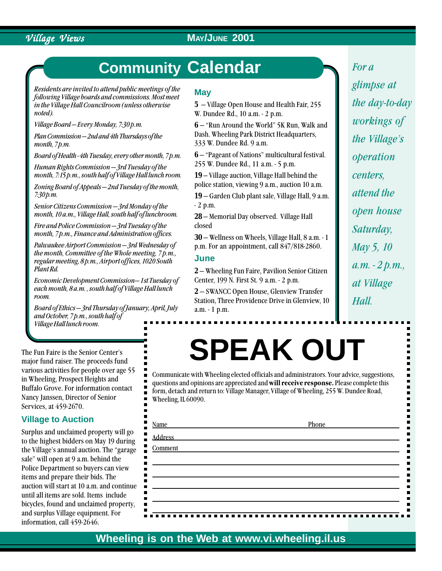### Village Views **MAY/JUNE 2001**

## **Community Calendar**

Residents are invited to attend public meetings of the following Village boards and commissions. Most meet in the Village Hall Councilroom (unless otherwise noted).

Village Board  $-Every$  Monday, 7:30 p.m.

Plan Commission – 2nd and 4th Thursdays of the month, 7*p.m.* 

Board of Health - 4th Tuesday, every other month, 7 p.m.

Human Rights Commission  $-$  3rd Tuesday of the month, 7:15 p.m., south half of Village Hall lunch room.

Zoning Board of Appeals  $-2n$ d Tuesday of the month,  $7:30$  p.m.

Senior Citizens Commission - 3rd Monday of the month, 10 a.m., Village Hall, south half of lunchroom.

Fire and Police Commission  $-$  3rd Tuesday of the month, 7 p.m., Finance and Administration offices.

Palwaukee Airport Commission  $-3$ rd Wednesday of the month, Committee of the Whole meeting, 7 p.m., regular meeting, 8 p.m., Airport offices, 1020 South Plant Rd.

Economic Development Commission-1st Tuesday of each month, 8 a.m. , south half of Village Hall lunch room.

 $Board of Ethics - 3rd Thursday of January, April, July$ and October, 7 p.m., south half of Village Hall lunch room.

The Fun Faire is the Senior Center's major fund raiser. The proceeds fund various activities for people over age 55 in Wheeling, Prospect Heights and Buffalo Grove. For information contact Nancy Janssen, Director of Senior Services, at 459-2670.

### **Village to Auction**

Surplus and unclaimed property will go to the highest bidders on May 19 during the Village's annual auction. The "garage" sale" will open at 9 a.m. behind the Police Department so buyers can view items and prepare their bids. The auction will start at 10 a.m. and continue until all items are sold. Items include bicycles, found and unclaimed property, and surplus Village equipment. For information, call 459-2646.

### **May**

**5** – Village Open House and Health Fair, 255 W. Dundee Rd., 10 a.m. - 2 p.m.

**6** – "Run Around the World" 5K Run, Walk and Dash. Wheeling Park District Headquarters, 333 W. Dundee Rd. 9 a.m.

**6**  $\rightarrow$  "Pageant of Nations" multicultural festival. 255 W. Dundee Rd., 11 a.m. - 5 p.m.

19 – Village auction, Village Hall behind the police station, viewing 9 a.m., auction 10 a.m.

19 – Garden Club plant sale, Village Hall, 9 a.m. - 2 p.m.

**28** – Memorial Day observed. Village Hall closed

**30** – Wellness on Wheels, Village Hall, 8 a.m. - 1 p.m. For an appointment, call 847/818-2860.

### **June**

**2** – Wheeling Fun Faire, Pavilion Senior Citizen Center, 199 N. First St. 9 a.m. - 2 p.m.

**2** – SWANCC Open House, Glenview Transfer Station, Three Providence Drive in Glenview, 10 a.m. - 1 p.m.

# **SPEAK OUT**

Communicate with Wheeling elected officials and administrators. Your advice, suggestions, questions and opinions are appreciated and will receive response. Please complete this form, detach and return to: Village Manager, Village of Wheeling, 255 W. Dundee Road, Wheeling, IL 60090.

| Name         | Phone |
|--------------|-------|
| ٠<br>Address |       |
| Comment      |       |
|              |       |

 $\blacksquare$ 

 $\blacksquare$  $\blacksquare$ 

 $\blacksquare$  $\blacksquare$ 

For a glimpse at the day-to-day workings of the Village's operation centers, attend the open house Saturday, May 5, 10  $a.m. - 2 p.m.$ at Village Hall.

**PAGE 7**

### **Wheeling is on the Web at www.vi.wheeling.il.us**